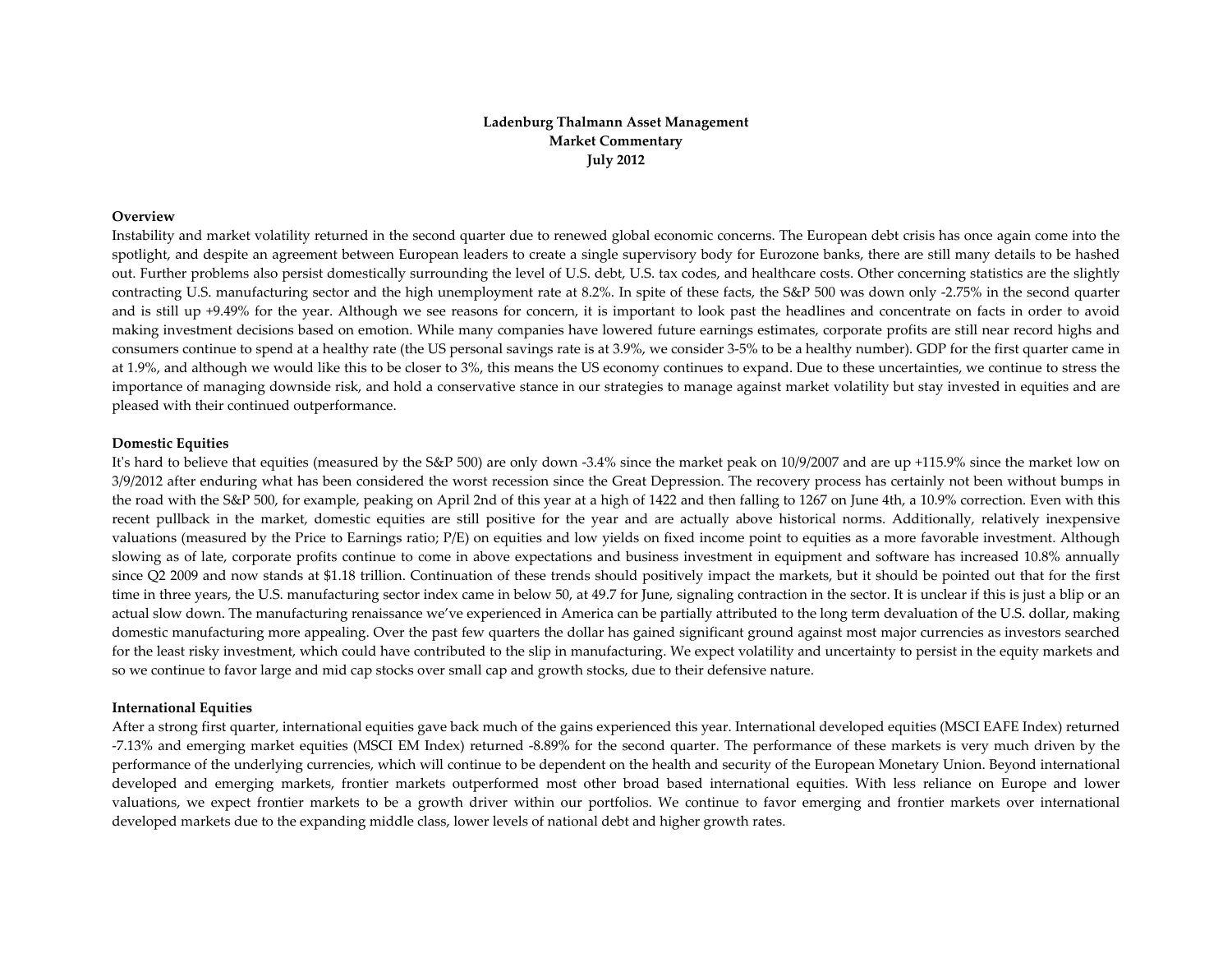# **Ladenburg Thalmann Asset Management Market Commentary July 2012**

### **Overview**

Instability and market volatility returned in the second quarter due to renewed global economic concerns. The European debt crisis has once again come into the spotlight, and despite an agreemen<sup>t</sup> between European leaders to create <sup>a</sup> single supervisory body for Eurozone banks, there are still many details to be hashed out. Further problems also persist domestically surrounding the level of U.S. debt, U.S. tax codes, and healthcare costs. Other concerning statistics are the slightly contracting U.S. manufacturing sector and the high unemployment rate at 8.2%. In spite of these facts, the S&P 500 was down only ‐2.75% in the second quarter and is still up +9.49% for the year. Although we see reasons for concern, it is important to look pas<sup>t</sup> the headlines and concentrate on facts in order to avoid making investment decisions based on emotion. While many companies have lowered future earnings estimates, corporate profits are still near record highs and consumers continue to spend at <sup>a</sup> healthy rate (the US personal savings rate is at 3.9%, we consider 3‐5% to be <sup>a</sup> healthy number). GDP for the first quarter came in at 1.9%, and although we would like this to be closer to 3%, this means the US economy continues to expand. Due to these uncertainties, we continue to stress the importance of managing downside risk, and hold <sup>a</sup> conservative stance in our strategies to manage against market volatility but stay invested in equities and are pleased with their continued outperformance.

#### **Domestic Equities**

It's hard to believe that equities (measured by the S&P 500) are only down -3.4% since the market peak on 10/9/2007 and are up +115.9% since the market low on 3/9/2012 after enduring what has been considered the worst recession since the Great Depression. The recovery process has certainly not been without bumps in the road with the S&P 500, for example, peaking on April 2nd of this year at <sup>a</sup> high of <sup>1422</sup> and then falling to 1267 on June 4th, <sup>a</sup> 10.9% correction. Even with this recent pullback in the market, domestic equities are still positive for the year and are actually above historical norms. Additionally, relatively inexpensive valuations (measured by the Price to Earnings ratio; P/E) on equities and low yields on fixed income point to equities as <sup>a</sup> more favorable investment. Although slowing as of late, corporate profits continue to come in above expectations and business investment in equipment and software has increased 10.8% annually since Q2 <sup>2009</sup> and now stands at \$1.18 trillion. Continuation of these trends should positively impact the markets, but it should be pointed out that for the first time in three years, the U.S. manufacturing sector index came in below 50, at 49.7 for June, signaling contraction in the sector. It is unclear if this is just <sup>a</sup> blip or an actual slow down. The manufacturing renaissance we've experienced in America can be partially attributed to the long term devaluation of the U.S. dollar, making domestic manufacturing more appealing. Over the pas<sup>t</sup> few quarters the dollar has gained significant ground against most major currencies as investors searched for the least risky investment, which could have contributed to the slip in manufacturing. We expec<sup>t</sup> volatility and uncertainty to persist in the equity markets and so we continue to favor large and mid cap stocks over small cap and growth stocks, due to their defensive nature.

#### **International Equities**

After a strong first quarter, international equities gave back much of the gains experienced this year. International developed equities (MSCI EAFE Index) returned ‐7.13% and emerging market equities (MSCI EM Index) returned ‐8.89% for the second quarter. The performance of these markets is very much driven by the performance of the underlying currencies, which will continue to be dependent on the health and security of the European Monetary Union. Beyond international developed and emerging markets, frontier markets outperformed most other broad based international equities. With less reliance on Europe and lower valuations, we expec<sup>t</sup> frontier markets to be <sup>a</sup> growth driver within our portfolios. We continue to favor emerging and frontier markets over international developed markets due to the expanding middle class, lower levels of national debt and higher growth rates.